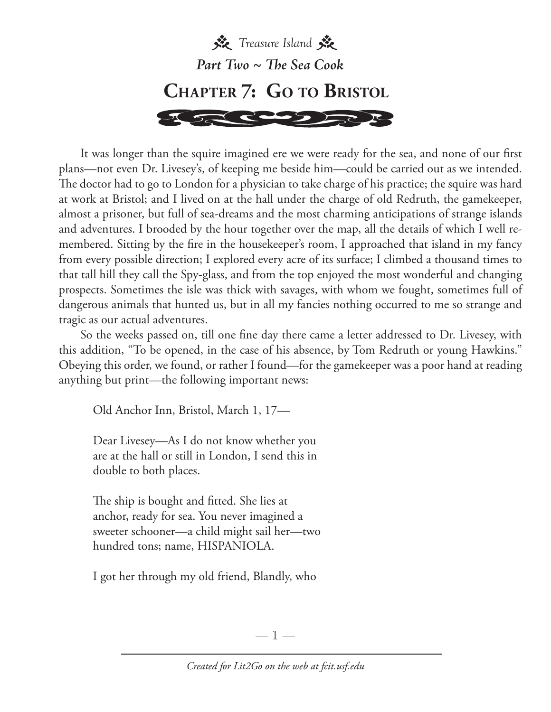

It was longer than the squire imagined ere we were ready for the sea, and none of our first plans—not even Dr. Livesey's, of keeping me beside him—could be carried out as we intended. The doctor had to go to London for a physician to take charge of his practice; the squire was hard at work at Bristol; and I lived on at the hall under the charge of old Redruth, the gamekeeper, almost a prisoner, but full of sea-dreams and the most charming anticipations of strange islands and adventures. I brooded by the hour together over the map, all the details of which I well remembered. Sitting by the fire in the housekeeper's room, I approached that island in my fancy from every possible direction; I explored every acre of its surface; I climbed a thousand times to that tall hill they call the Spy-glass, and from the top enjoyed the most wonderful and changing prospects. Sometimes the isle was thick with savages, with whom we fought, sometimes full of dangerous animals that hunted us, but in all my fancies nothing occurred to me so strange and tragic as our actual adventures.

So the weeks passed on, till one fine day there came a letter addressed to Dr. Livesey, with this addition, "To be opened, in the case of his absence, by Tom Redruth or young Hawkins." Obeying this order, we found, or rather I found—for the gamekeeper was a poor hand at reading anything but print—the following important news:

Old Anchor Inn, Bristol, March 1, 17—

 Dear Livesey—As I do not know whether you are at the hall or still in London, I send this in double to both places.

 The ship is bought and fitted. She lies at anchor, ready for sea. You never imagined a sweeter schooner—a child might sail her—two hundred tons; name, HISPANIOLA.

I got her through my old friend, Blandly, who

 $-1-$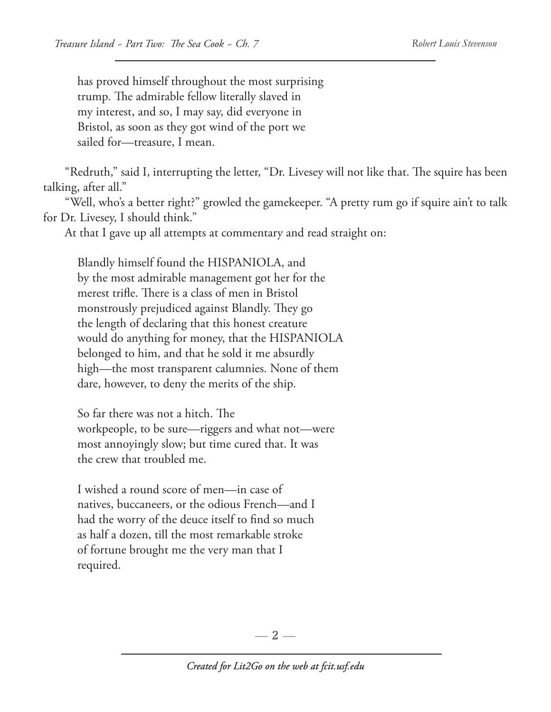has proved himself throughout the most surprising trump. The admirable fellow literally slaved in my interest, and so, I may say, did everyone in Bristol, as soon as they got wind of the port we sailed for—treasure, I mean.

"Redruth," said I, interrupting the letter, "Dr. Livesey will not like that. The squire has been talking, after all."

"Well, who's a better right?" growled the gamekeeper. "A pretty rum go if squire ain't to talk for Dr. Livesey, I should think."

At that I gave up all attempts at commentary and read straight on:

 Blandly himself found the HISPANIOLA, and by the most admirable management got her for the merest trifle. There is a class of men in Bristol monstrously prejudiced against Blandly. They go the length of declaring that this honest creature would do anything for money, that the HISPANIOLA belonged to him, and that he sold it me absurdly high—the most transparent calumnies. None of them dare, however, to deny the merits of the ship.

 So far there was not a hitch. The workpeople, to be sure—riggers and what not—were most annoyingly slow; but time cured that. It was the crew that troubled me.

 I wished a round score of men—in case of natives, buccaneers, or the odious French—and I had the worry of the deuce itself to find so much as half a dozen, till the most remarkable stroke of fortune brought me the very man that I required.

 $-2-$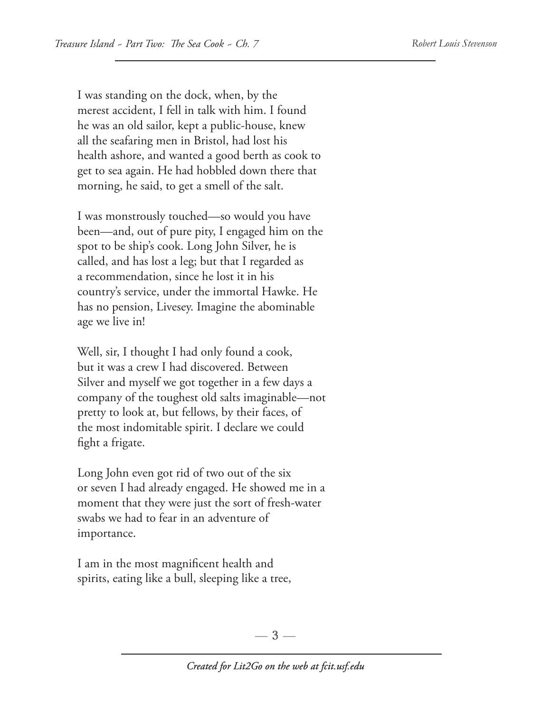I was standing on the dock, when, by the merest accident, I fell in talk with him. I found he was an old sailor, kept a public-house, knew all the seafaring men in Bristol, had lost his health ashore, and wanted a good berth as cook to get to sea again. He had hobbled down there that morning, he said, to get a smell of the salt.

 I was monstrously touched—so would you have been—and, out of pure pity, I engaged him on the spot to be ship's cook. Long John Silver, he is called, and has lost a leg; but that I regarded as a recommendation, since he lost it in his country's service, under the immortal Hawke. He has no pension, Livesey. Imagine the abominable age we live in!

 Well, sir, I thought I had only found a cook, but it was a crew I had discovered. Between Silver and myself we got together in a few days a company of the toughest old salts imaginable—not pretty to look at, but fellows, by their faces, of the most indomitable spirit. I declare we could fight a frigate.

 Long John even got rid of two out of the six or seven I had already engaged. He showed me in a moment that they were just the sort of fresh-water swabs we had to fear in an adventure of importance.

 I am in the most magnificent health and spirits, eating like a bull, sleeping like a tree,

 $-3-$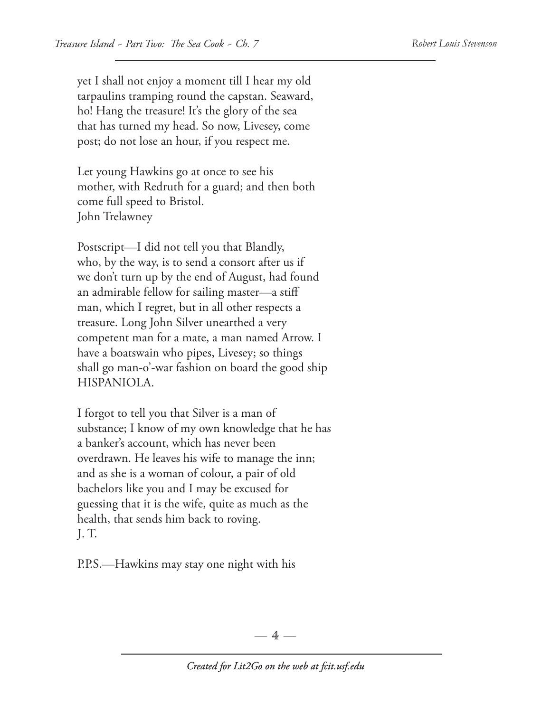yet I shall not enjoy a moment till I hear my old tarpaulins tramping round the capstan. Seaward, ho! Hang the treasure! It's the glory of the sea that has turned my head. So now, Livesey, come post; do not lose an hour, if you respect me.

 Let young Hawkins go at once to see his mother, with Redruth for a guard; and then both come full speed to Bristol. John Trelawney

 Postscript—I did not tell you that Blandly, who, by the way, is to send a consort after us if we don't turn up by the end of August, had found an admirable fellow for sailing master—a stiff man, which I regret, but in all other respects a treasure. Long John Silver unearthed a very competent man for a mate, a man named Arrow. I have a boatswain who pipes, Livesey; so things shall go man-o'-war fashion on board the good ship HISPANIOLA.

 I forgot to tell you that Silver is a man of substance; I know of my own knowledge that he has a banker's account, which has never been overdrawn. He leaves his wife to manage the inn; and as she is a woman of colour, a pair of old bachelors like you and I may be excused for guessing that it is the wife, quite as much as the health, that sends him back to roving. J. T.

P.P.S.—Hawkins may stay one night with his

 $-4-$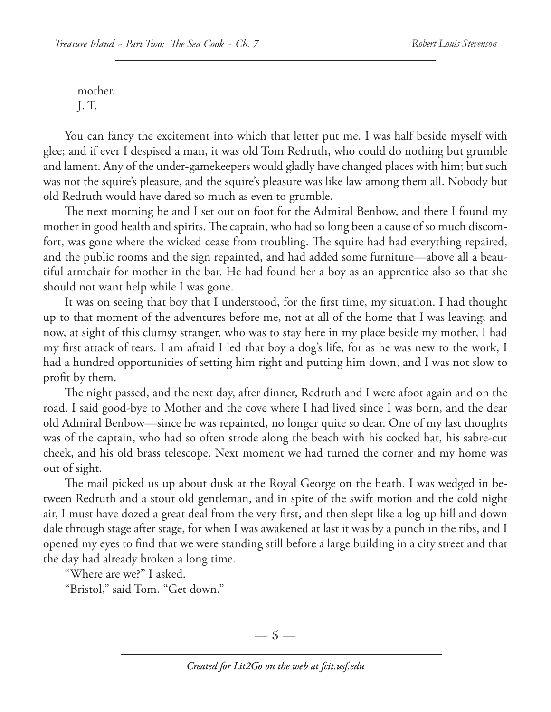mother.

J. T.

You can fancy the excitement into which that letter put me. I was half beside myself with glee; and if ever I despised a man, it was old Tom Redruth, who could do nothing but grumble and lament. Any of the under-gamekeepers would gladly have changed places with him; but such was not the squire's pleasure, and the squire's pleasure was like law among them all. Nobody but old Redruth would have dared so much as even to grumble.

The next morning he and I set out on foot for the Admiral Benbow, and there I found my mother in good health and spirits. The captain, who had so long been a cause of so much discomfort, was gone where the wicked cease from troubling. The squire had had everything repaired, and the public rooms and the sign repainted, and had added some furniture—above all a beautiful armchair for mother in the bar. He had found her a boy as an apprentice also so that she should not want help while I was gone.

It was on seeing that boy that I understood, for the first time, my situation. I had thought up to that moment of the adventures before me, not at all of the home that I was leaving; and now, at sight of this clumsy stranger, who was to stay here in my place beside my mother, I had my first attack of tears. I am afraid I led that boy a dog's life, for as he was new to the work, I had a hundred opportunities of setting him right and putting him down, and I was not slow to profit by them.

The night passed, and the next day, after dinner, Redruth and I were afoot again and on the road. I said good-bye to Mother and the cove where I had lived since I was born, and the dear old Admiral Benbow—since he was repainted, no longer quite so dear. One of my last thoughts was of the captain, who had so often strode along the beach with his cocked hat, his sabre-cut cheek, and his old brass telescope. Next moment we had turned the corner and my home was out of sight.

The mail picked us up about dusk at the Royal George on the heath. I was wedged in between Redruth and a stout old gentleman, and in spite of the swift motion and the cold night air, I must have dozed a great deal from the very first, and then slept like a log up hill and down dale through stage after stage, for when I was awakened at last it was by a punch in the ribs, and I opened my eyes to find that we were standing still before a large building in a city street and that the day had already broken a long time.

"Where are we?" I asked.

"Bristol," said Tom. "Get down."

—  $5-$